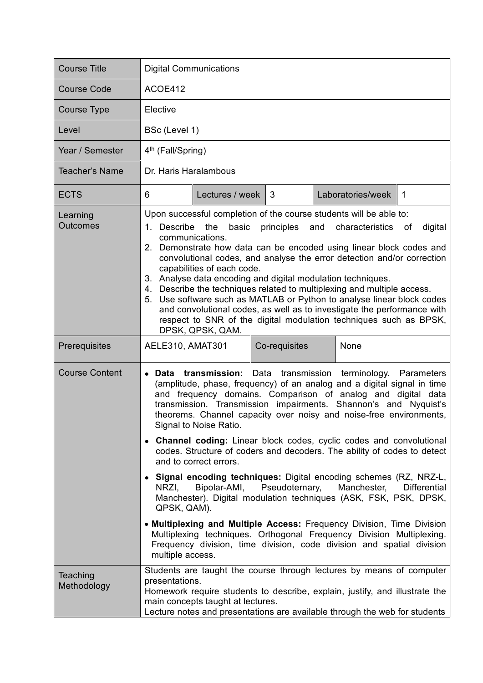| <b>Course Title</b>         | <b>Digital Communications</b>                                                                                                                                                                                                                                                                                                                                                                                                                                                                                                                                                                                                                                                                                                                     |                 |               |  |                   |              |  |
|-----------------------------|---------------------------------------------------------------------------------------------------------------------------------------------------------------------------------------------------------------------------------------------------------------------------------------------------------------------------------------------------------------------------------------------------------------------------------------------------------------------------------------------------------------------------------------------------------------------------------------------------------------------------------------------------------------------------------------------------------------------------------------------------|-----------------|---------------|--|-------------------|--------------|--|
| <b>Course Code</b>          | ACOE412                                                                                                                                                                                                                                                                                                                                                                                                                                                                                                                                                                                                                                                                                                                                           |                 |               |  |                   |              |  |
| <b>Course Type</b>          | Elective                                                                                                                                                                                                                                                                                                                                                                                                                                                                                                                                                                                                                                                                                                                                          |                 |               |  |                   |              |  |
| Level                       | BSc (Level 1)                                                                                                                                                                                                                                                                                                                                                                                                                                                                                                                                                                                                                                                                                                                                     |                 |               |  |                   |              |  |
| Year / Semester             | 4 <sup>th</sup> (Fall/Spring)                                                                                                                                                                                                                                                                                                                                                                                                                                                                                                                                                                                                                                                                                                                     |                 |               |  |                   |              |  |
| <b>Teacher's Name</b>       | Dr. Haris Haralambous                                                                                                                                                                                                                                                                                                                                                                                                                                                                                                                                                                                                                                                                                                                             |                 |               |  |                   |              |  |
| <b>ECTS</b>                 | 6                                                                                                                                                                                                                                                                                                                                                                                                                                                                                                                                                                                                                                                                                                                                                 | Lectures / week | 3             |  | Laboratories/week | $\mathbf{1}$ |  |
| Learning<br><b>Outcomes</b> | Upon successful completion of the course students will be able to:<br>1. Describe the<br>basic<br>principles<br>and<br>characteristics<br>digital<br>of<br>communications.<br>2. Demonstrate how data can be encoded using linear block codes and<br>convolutional codes, and analyse the error detection and/or correction<br>capabilities of each code.<br>3. Analyse data encoding and digital modulation techniques.<br>4. Describe the techniques related to multiplexing and multiple access.<br>5. Use software such as MATLAB or Python to analyse linear block codes<br>and convolutional codes, as well as to investigate the performance with<br>respect to SNR of the digital modulation techniques such as BPSK,<br>DPSK, QPSK, QAM. |                 |               |  |                   |              |  |
| Prerequisites               | AELE310, AMAT301                                                                                                                                                                                                                                                                                                                                                                                                                                                                                                                                                                                                                                                                                                                                  |                 | Co-requisites |  | None              |              |  |
| <b>Course Content</b>       | Data transmission: Data transmission terminology. Parameters<br>$\bullet$<br>(amplitude, phase, frequency) of an analog and a digital signal in time<br>and frequency domains. Comparison of analog and digital data<br>transmission. Transmission impairments. Shannon's and Nyquist's<br>theorems. Channel capacity over noisy and noise-free environments,<br>Signal to Noise Ratio.<br>• Channel coding: Linear block codes, cyclic codes and convolutional<br>codes. Structure of coders and decoders. The ability of codes to detect                                                                                                                                                                                                        |                 |               |  |                   |              |  |
|                             | and to correct errors.<br>• Signal encoding techniques: Digital encoding schemes (RZ, NRZ-L,<br>NRZI.<br>Bipolar-AMI,<br>Pseudoternary,<br>Manchester,<br><b>Differential</b><br>Manchester). Digital modulation techniques (ASK, FSK, PSK, DPSK,<br>QPSK, QAM).                                                                                                                                                                                                                                                                                                                                                                                                                                                                                  |                 |               |  |                   |              |  |
|                             | • Multiplexing and Multiple Access: Frequency Division, Time Division<br>Multiplexing techniques. Orthogonal Frequency Division Multiplexing.<br>Frequency division, time division, code division and spatial division<br>multiple access.                                                                                                                                                                                                                                                                                                                                                                                                                                                                                                        |                 |               |  |                   |              |  |
| Teaching<br>Methodology     | Students are taught the course through lectures by means of computer<br>presentations.<br>Homework require students to describe, explain, justify, and illustrate the<br>main concepts taught at lectures.<br>Lecture notes and presentations are available through the web for students                                                                                                                                                                                                                                                                                                                                                                                                                                                          |                 |               |  |                   |              |  |